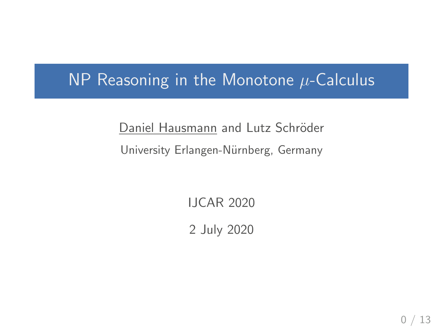# $NP$  Reasoning in the Monotone  $\mu$ -Calculus

Daniel Hausmann and Lutz Schröder University Erlangen-Nürnberg, Germany

IJCAR 2020

2 July 2020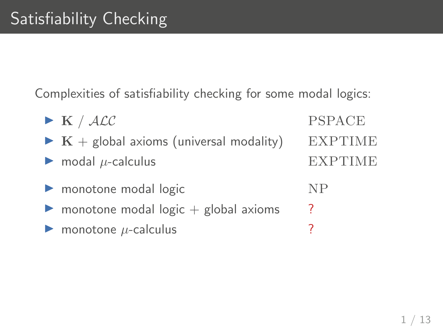Complexities of satisfiability checking for some modal logics:

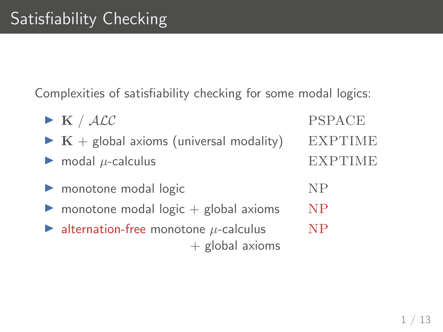Complexities of satisfiability checking for some modal logics:

| $\blacktriangleright$ K / ALC                                                        | <b>PSPACE</b>  |
|--------------------------------------------------------------------------------------|----------------|
| $\triangleright$ K + global axioms (universal modality)                              | <b>EXPTIME</b> |
| $\triangleright$ modal $\mu$ -calculus                                               | <b>EXPTIME</b> |
| monotone modal logic                                                                 | NP             |
| monotone modal $logic + global axioms$<br>▶                                          | <b>NP</b>      |
| $\blacktriangleright$ alternation-free monotone $\mu$ -calculus<br>$+$ global axioms | N <sub>P</sub> |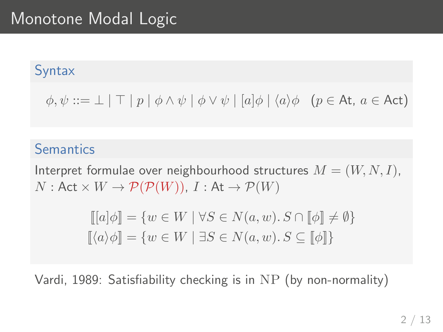# Monotone Modal Logic

#### **Syntax**

 $\phi, \psi ::= \bot \mid \top \mid p \mid \phi \wedge \psi \mid \phi \vee \psi \mid [a] \phi \mid \langle a \rangle \phi \quad (p \in \text{At}, a \in \text{Act})$ 

#### **Semantics**

Interpret formulae over neighbourhood structures  $M = (W, N, I)$ ,  $N:$  Act  $\times W \to \mathcal{P}(\mathcal{P}(W))$ ,  $I:$  At  $\to \mathcal{P}(W)$ 

$$
\begin{aligned} [[a]\phi] &= \{ w \in W \mid \forall S \in N(a, w). S \cap [\![\phi]\!] \neq \emptyset \} \\ [\![\langle a \rangle \phi]\!] &= \{ w \in W \mid \exists S \in N(a, w). S \subseteq [\![\phi]\!] \} \end{aligned}
$$

Vardi, 1989: Satisfiability checking is in NP (by non-normality)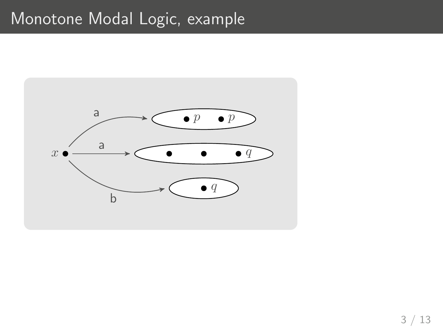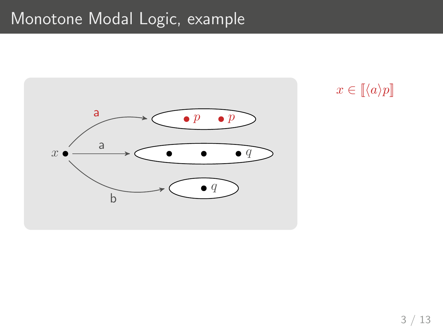

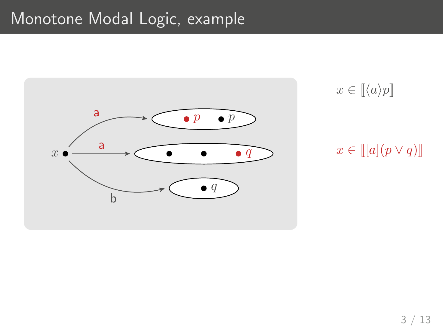

 $x \in \llbracket \langle a \rangle p \rrbracket$ 

### $x \in \llbracket [a](p \vee q) \rrbracket$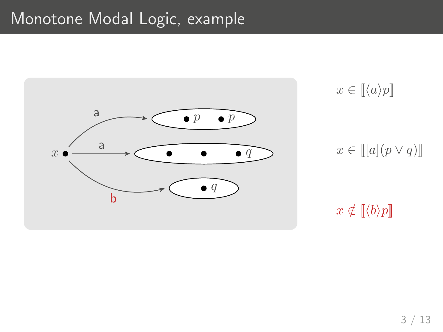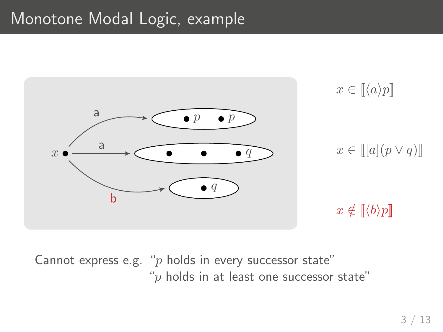

Cannot express e.g. " $p$  holds in every successor state" " $p$  holds in at least one successor state"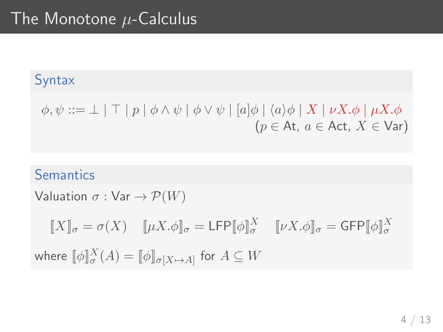### Syntax

$$
\phi, \psi ::= \bot \mid \top \mid p \mid \phi \land \psi \mid \phi \lor \psi \mid [a] \phi \mid \langle a \rangle \phi \mid X \mid \nu X. \phi \mid \mu X. \phi
$$
  
( $p \in \text{At}, a \in \text{Act}, X \in \text{Var}$ )

### **Semantics**

Valuation  $\sigma : \text{Var} \rightarrow \mathcal{P}(W)$ 

 $[\![X]\!]_\sigma = \sigma(X)$   $[\![\mu X.\phi]\!]_\sigma = \mathsf{LFP}[\![\phi]\!]_\sigma^X$   $[\![\nu X.\phi]\!]_\sigma = \mathsf{GFP}[\![\phi]\!]_\sigma^X$ 

where  $[\![\phi]\!]_\sigma^X(A) = [\![\phi]\!]_{\sigma[X \mapsto A]}$  for  $A \subseteq W$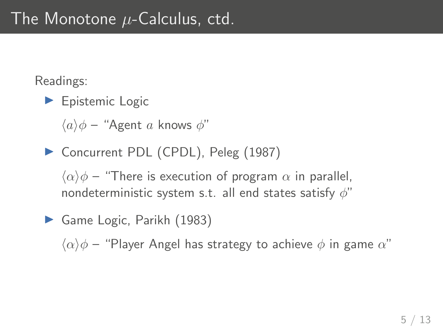# The Monotone  $\mu$ -Calculus, ctd.

Readings:

 $\blacktriangleright$  Epistemic Logic

 $\langle a \rangle \phi$  – "Agent a knows  $\phi$ "

▶ Concurrent PDL (CPDL), Peleg (1987)

 $\langle \alpha \rangle \phi$  – "There is execution of program  $\alpha$  in parallel, nondeterministic system s.t. all end states satisfy  $\phi$ "

Game Logic, Parikh (1983)

 $\langle \alpha \rangle \phi$  – "Player Angel has strategy to achieve  $\phi$  in game  $\alpha$ "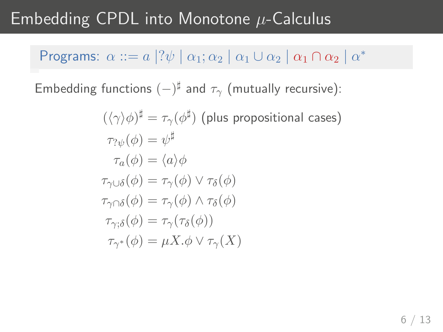# Embedding CPDL into Monotone  $\mu$ -Calculus

### Programs:  $\alpha ::= a \, |? \psi \mid \alpha_1; \alpha_2 \mid \alpha_1 \cup \alpha_2 \mid \alpha_1 \cap \alpha_2 \mid \alpha^*$

Embedding functions  $(-)^\sharp$  and  $\tau_\gamma$  (mutually recursive):

$$
(\langle \gamma \rangle \phi)^{\sharp} = \tau_{\gamma}(\phi^{\sharp}) \text{ (plus propositional cases)}
$$
  
\n
$$
\tau_{? \psi}(\phi) = \psi^{\sharp}
$$
  
\n
$$
\tau_{a}(\phi) = \langle a \rangle \phi
$$
  
\n
$$
\tau_{\gamma \cup \delta}(\phi) = \tau_{\gamma}(\phi) \lor \tau_{\delta}(\phi)
$$
  
\n
$$
\tau_{\gamma \cap \delta}(\phi) = \tau_{\gamma}(\phi) \land \tau_{\delta}(\phi)
$$
  
\n
$$
\tau_{\gamma; \delta}(\phi) = \tau_{\gamma}(\tau_{\delta}(\phi))
$$
  
\n
$$
\tau_{\gamma^{*}}(\phi) = \mu X. \phi \lor \tau_{\gamma}(X)
$$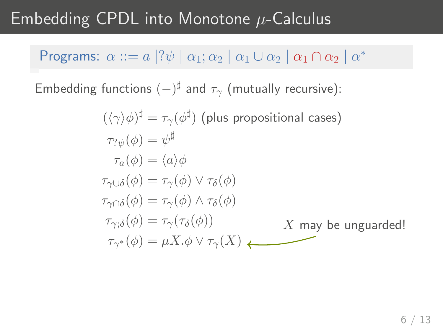# Embedding CPDL into Monotone  $\mu$ -Calculus

### Programs:  $\alpha ::= a \, |? \psi \mid \alpha_1; \alpha_2 \mid \alpha_1 \cup \alpha_2 \mid \alpha_1 \cap \alpha_2 \mid \alpha^*$

Embedding functions  $(-)^\sharp$  and  $\tau_\gamma$  (mutually recursive):

$$
(\langle \gamma \rangle \phi)^{\sharp} = \tau_{\gamma}(\phi^{\sharp})
$$
 (plus propositional cases)  
\n
$$
\tau_{? \psi}(\phi) = \psi^{\sharp}
$$
  
\n
$$
\tau_{a}(\phi) = \langle a \rangle \phi
$$
  
\n
$$
\tau_{\gamma \cup \delta}(\phi) = \tau_{\gamma}(\phi) \lor \tau_{\delta}(\phi)
$$
  
\n
$$
\tau_{\gamma \cap \delta}(\phi) = \tau_{\gamma}(\phi) \land \tau_{\delta}(\phi)
$$
  
\n
$$
\tau_{\gamma; \delta}(\phi) = \tau_{\gamma}(\tau_{\delta}(\phi))
$$
  
\n
$$
\tau_{\gamma^{*}}(\phi) = \mu X. \phi \lor \tau_{\gamma}(X)
$$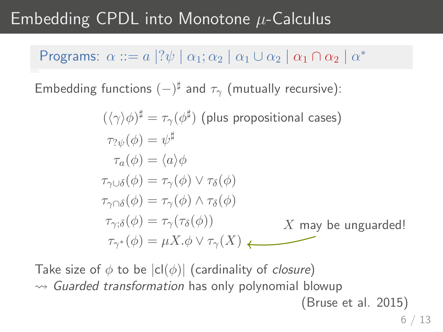# Embedding CPDL into Monotone  $\mu$ -Calculus

### Programs:  $\alpha ::= a \, |? \psi \mid \alpha_1; \alpha_2 \mid \alpha_1 \cup \alpha_2 \mid \alpha_1 \cap \alpha_2 \mid \alpha^*$

Embedding functions  $(-)^\sharp$  and  $\tau_\gamma$  (mutually recursive):

$$
(\langle \gamma \rangle \phi)^{\sharp} = \tau_{\gamma}(\phi^{\sharp}) \text{ (plus propositional cases)}
$$
  
\n
$$
\tau_{? \psi}(\phi) = \psi^{\sharp}
$$
  
\n
$$
\tau_a(\phi) = \langle a \rangle \phi
$$
  
\n
$$
\tau_{\gamma \cup \delta}(\phi) = \tau_{\gamma}(\phi) \lor \tau_{\delta}(\phi)
$$
  
\n
$$
\tau_{\gamma \cap \delta}(\phi) = \tau_{\gamma}(\phi) \land \tau_{\delta}(\phi)
$$
  
\n
$$
\tau_{\gamma; \delta}(\phi) = \tau_{\gamma}(\tau_{\delta}(\phi))
$$
  
\n
$$
\tau_{\gamma^*}(\phi) = \mu X. \phi \lor \tau_{\gamma}(X)
$$

Take size of  $\phi$  to be  $|c|(\phi)|$  (cardinality of *closure*)  $\rightsquigarrow$  Guarded transformation has only polynomial blowup (Bruse et al. 2015)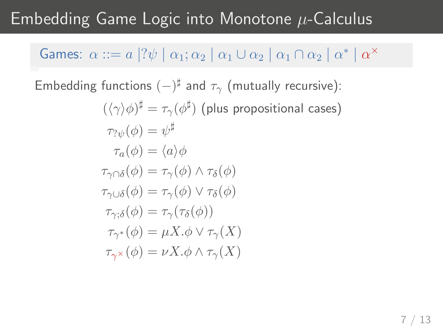# Embedding Game Logic into Monotone  $\mu$ -Calculus

### Games:  $\alpha ::= a \, |? \psi \mid \alpha_1; \alpha_2 \mid \alpha_1 \cup \alpha_2 \mid \alpha_1 \cap \alpha_2 \mid \alpha^* \mid \alpha^*$

Embedding functions  $(-)^\sharp$  and  $\tau_\gamma$  (mutually recursive):

$$
(\langle \gamma \rangle \phi)^{\sharp} = \tau_{\gamma}(\phi^{\sharp}) \text{ (plus propositional cases)}
$$
  
\n
$$
\tau_{? \psi}(\phi) = \psi^{\sharp}
$$
  
\n
$$
\tau_a(\phi) = \langle a \rangle \phi
$$
  
\n
$$
\tau_{\gamma \cap \delta}(\phi) = \tau_{\gamma}(\phi) \land \tau_{\delta}(\phi)
$$
  
\n
$$
\tau_{\gamma \cup \delta}(\phi) = \tau_{\gamma}(\phi) \lor \tau_{\delta}(\phi)
$$
  
\n
$$
\tau_{\gamma; \delta}(\phi) = \tau_{\gamma}(\tau_{\delta}(\phi))
$$
  
\n
$$
\tau_{\gamma^*}(\phi) = \mu X. \phi \lor \tau_{\gamma}(X)
$$
  
\n
$$
\tau_{\gamma^*}(\phi) = \nu X. \phi \land \tau_{\gamma}(X)
$$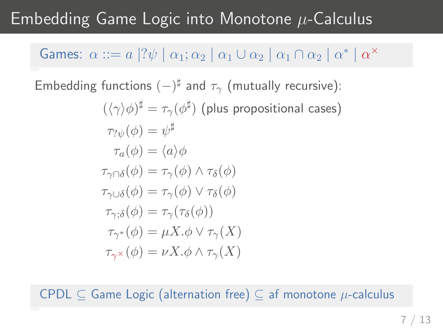# Embedding Game Logic into Monotone  $\mu$ -Calculus

### Games:  $\alpha ::= a \, |? \psi \mid \alpha_1; \alpha_2 \mid \alpha_1 \cup \alpha_2 \mid \alpha_1 \cap \alpha_2 \mid \alpha^* \mid \alpha^*$

Embedding functions  $(-)^\sharp$  and  $\tau_\gamma$  (mutually recursive):

$$
(\langle \gamma \rangle \phi)^{\sharp} = \tau_{\gamma}(\phi^{\sharp}) \text{ (plus propositional cases)}
$$
  
\n
$$
\tau_{? \psi}(\phi) = \psi^{\sharp}
$$
  
\n
$$
\tau_a(\phi) = \langle a \rangle \phi
$$
  
\n
$$
\tau_{\gamma \cap \delta}(\phi) = \tau_{\gamma}(\phi) \land \tau_{\delta}(\phi)
$$
  
\n
$$
\tau_{\gamma \cup \delta}(\phi) = \tau_{\gamma}(\phi) \lor \tau_{\delta}(\phi)
$$
  
\n
$$
\tau_{\gamma; \delta}(\phi) = \tau_{\gamma}(\tau_{\delta}(\phi))
$$
  
\n
$$
\tau_{\gamma^*}(\phi) = \mu X. \phi \lor \tau_{\gamma}(X)
$$
  
\n
$$
\tau_{\gamma^*}(\phi) = \nu X. \phi \land \tau_{\gamma}(X)
$$

CPDL  $\subseteq$  Game Logic (alternation free)  $\subseteq$  af monotone  $\mu$ -calculus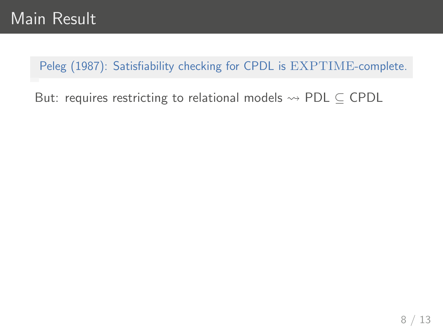Peleg (1987): Satisfiability checking for CPDL is EXPTIME-complete.

But: requires restricting to relational models  $\rightsquigarrow$  PDL  $\subseteq$  CPDL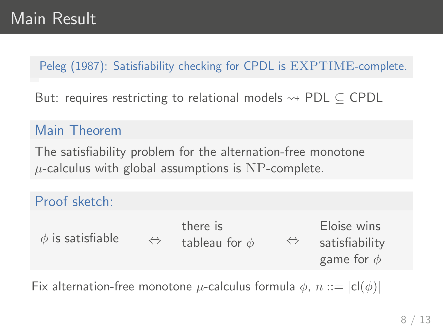### Peleg (1987): Satisfiability checking for CPDL is EXPTIME-complete.

But: requires restricting to relational models  $\rightsquigarrow$  PDL  $\subseteq$  CPDL

### Main Theorem

The satisfiability problem for the alternation-free monotone  $\mu$ -calculus with global assumptions is NP-complete.

### Proof sketch:

|                       |                   | there is           |                   | Eloise wins     |
|-----------------------|-------------------|--------------------|-------------------|-----------------|
| $\phi$ is satisfiable | $\Leftrightarrow$ | tableau for $\phi$ | $\Leftrightarrow$ | satisfiability  |
|                       |                   |                    |                   | game for $\phi$ |

Fix alternation-free monotone  $\mu$ -calculus formula  $\phi$ ,  $n ::= |cl(\phi)|$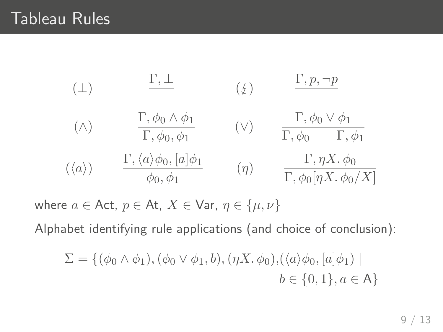$$
\begin{array}{cccc}\n(\perp) & \frac{\Gamma, \perp}{\Gamma, \phi_0 \land \phi_1} & (\phi) & \frac{\Gamma, p, \neg p}{\Gamma, \phi_0 \lor \phi_1} \\
(\wedge) & \frac{\Gamma, \phi_0 \land \phi_1}{\Gamma, \phi_0, \phi_1} & (\vee) & \frac{\Gamma, \phi_0 \lor \phi_1}{\Gamma, \phi_0 \quad \Gamma, \phi_1} \\
(\langle a \rangle) & \frac{\Gamma, \langle a \rangle \phi_0, [a] \phi_1}{\phi_0, \phi_1} & (\eta) & \frac{\Gamma, \eta X. \phi_0}{\Gamma, \phi_0 [\eta X. \phi_0 / X]}\n\end{array}
$$

where  $a \in$  Act,  $p \in$  At,  $X \in$  Var,  $\eta \in \{\mu, \nu\}$ 

Alphabet identifying rule applications (and choice of conclusion):

$$
\Sigma = \{ (\phi_0 \land \phi_1), (\phi_0 \lor \phi_1, b), (\eta X. \phi_0), (\langle a \rangle \phi_0, [a] \phi_1) \mid b \in \{0, 1\}, a \in A \}
$$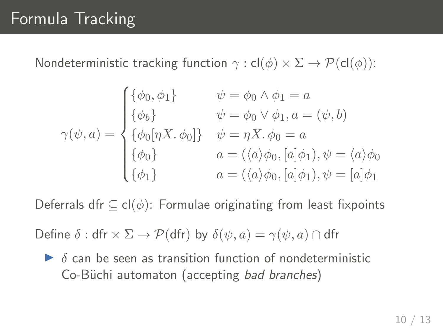Nondeterministic tracking function  $\gamma$  : cl( $\phi$ )  $\times \Sigma \rightarrow \mathcal{P}(\text{cl}(\phi))$ :

$$
\gamma(\psi, a) = \begin{cases}\n\{\phi_0, \phi_1\} & \psi = \phi_0 \land \phi_1 = a \\
\{\phi_b\} & \psi = \phi_0 \lor \phi_1, a = (\psi, b) \\
\{\phi_0[\eta X, \phi_0]\} & \psi = \eta X. \phi_0 = a \\
\{\phi_0\} & a = (\langle a \rangle \phi_0, [a] \phi_1), \psi = \langle a \rangle \phi_0 \\
\{\phi_1\} & a = (\langle a \rangle \phi_0, [a] \phi_1), \psi = [a] \phi_1\n\end{cases}
$$

Deferrals dfr  $\subseteq$  cl $(\phi)$ : Formulae originating from least fixpoints

Define  $\delta$  : dfr  $\times \Sigma \rightarrow \mathcal{P}$ (dfr) by  $\delta(\psi, a) = \gamma(\psi, a) \cap$  dfr

 $\triangleright$   $\delta$  can be seen as transition function of nondeterministic Co-Büchi automaton (accepting bad branches)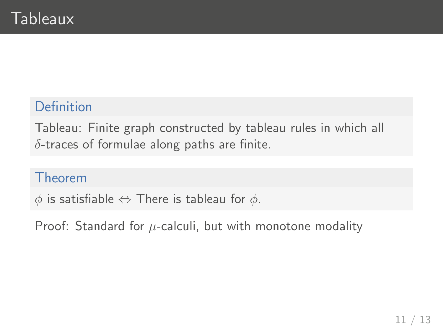### Definition

Tableau: Finite graph constructed by tableau rules in which all  $\delta$ -traces of formulae along paths are finite.

#### Theorem

 $\phi$  is satisfiable  $\Leftrightarrow$  There is tableau for  $\phi$ .

Proof: Standard for  $\mu$ -calculi, but with monotone modality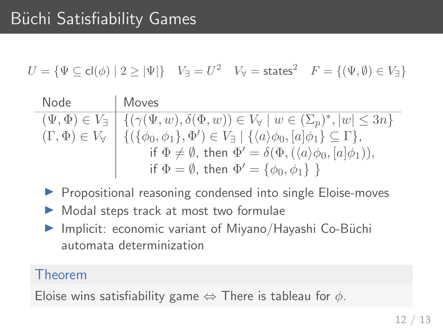$U=\{\Psi\subseteq\mathsf{cl}(\phi)\mid 2\geq |\Psi|\} \quad V_\exists=U^2 \quad V_\forall=\mathsf{states}^2 \quad F=\{(\Psi,\emptyset)\in V_\exists\}$ 

Node Moves  $(\Psi, \Phi) \in V_{\exists} \mid \{ (\gamma(\Psi, w), \delta(\Phi, w)) \in V_{\forall} \mid w \in (\Sigma_p)^*, |w| \leq 3n \}$  $(\Gamma, \Phi) \in V_{\forall} \mid \{ (\{\phi_0, \phi_1\}, \Phi') \in V_{\exists} \mid \{\langle a \rangle \phi_0, [a] \phi_1\} \subseteq \Gamma \},\$ if  $\Phi \neq \emptyset$ , then  $\Phi' = \delta(\Phi, (\langle a \rangle \phi_0, [a] \phi_1)),$ if  $\Phi = \emptyset$ , then  $\Phi' = \{\phi_0, \phi_1\}$  }

- ▶ Propositional reasoning condensed into single Eloise-moves
- $\blacktriangleright$  Modal steps track at most two formulae
- ▶ Implicit: economic variant of Miyano/Hayashi Co-Büchi automata determinization

#### Theorem

Eloise wins satisfiability game  $\Leftrightarrow$  There is tableau for  $\phi$ .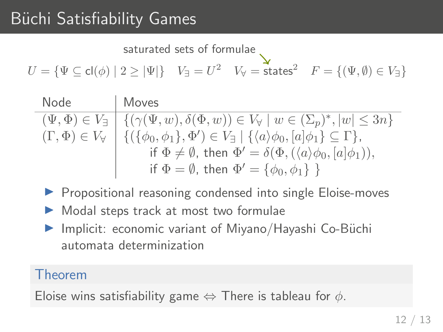saturated sets of formulae

 $U=\{\Psi\subseteq\mathsf{cl}(\phi)\mid 2\geq |\Psi|\} \quad V_\exists=U^2 \quad V_\forall=\mathsf{states}^2 \quad F=\{(\Psi,\emptyset)\in V_\exists\}$ 

| Node | Moves                                                                                                                                                   |
|------|---------------------------------------------------------------------------------------------------------------------------------------------------------|
|      | $(\Psi, \Phi) \in V_{\exists} \mid \{ (\gamma(\Psi, w), \delta(\Phi, w)) \in V_{\forall} \mid w \in (\Sigma_p)^*,  w  \leq 3n \}$                       |
|      | $(\Gamma, \Phi) \in V_{\forall} \mid \{ (\{\phi_0, \phi_1\}, \Phi') \in V_{\exists} \mid \{\langle a \rangle \phi_0, [a] \phi_1\} \subseteq \Gamma \},$ |
|      | if $\Phi \neq \emptyset$ , then $\Phi' = \delta(\Phi, (\langle a \rangle \phi_0, [a] \phi_1)),$                                                         |
|      | if $\Phi = \emptyset$ , then $\Phi' = {\phi_0, \phi_1}$ }                                                                                               |

- ▶ Propositional reasoning condensed into single Eloise-moves
- $\triangleright$  Modal steps track at most two formulae
- ▶ Implicit: economic variant of Miyano/Hayashi Co-Büchi automata determinization

### Theorem

Eloise wins satisfiability game  $\Leftrightarrow$  There is tableau for  $\phi$ .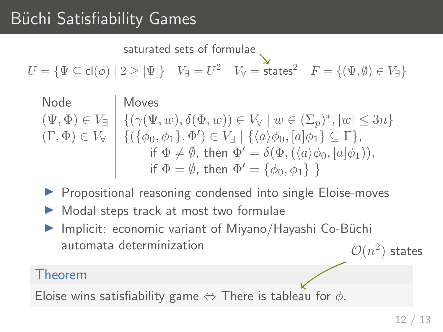saturated sets of formulae

 $U=\{\Psi\subseteq\mathsf{cl}(\phi)\mid 2\geq |\Psi|\} \quad V_\exists=U^2 \quad V_\forall=\mathsf{states}^2 \quad F=\{(\Psi,\emptyset)\in V_\exists\}$ 

| Node | Moves                                                                                                                                                   |
|------|---------------------------------------------------------------------------------------------------------------------------------------------------------|
|      | $(\Psi, \Phi) \in V_{\exists} \mid \{ (\gamma(\Psi, w), \delta(\Phi, w)) \in V_{\forall} \mid w \in (\Sigma_p)^*,  w  \leq 3n \}$                       |
|      | $(\Gamma, \Phi) \in V_{\forall} \mid \{ (\{\phi_0, \phi_1\}, \Phi') \in V_{\exists} \mid \{\langle a \rangle \phi_0, [a] \phi_1\} \subseteq \Gamma \},$ |
|      | if $\Phi \neq \emptyset$ , then $\Phi' = \delta(\Phi, (\langle a \rangle \phi_0, [a] \phi_1)),$                                                         |
|      | if $\Phi = \emptyset$ , then $\Phi' = {\phi_0, \phi_1}$ }                                                                                               |

- **Propositional reasoning condensed into single Eloise-moves**
- $\triangleright$  Modal steps track at most two formulae
- Implicit: economic variant of Miyano/Hayashi Co-Büchi automata determinization  $\mathcal{O}(n^2)$  states

### Theorem

Eloise wins satisfiability game  $\Leftrightarrow$  There is tableau for  $\phi$ .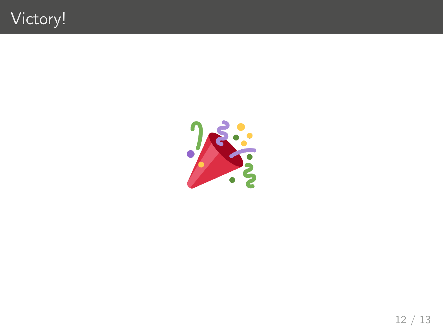